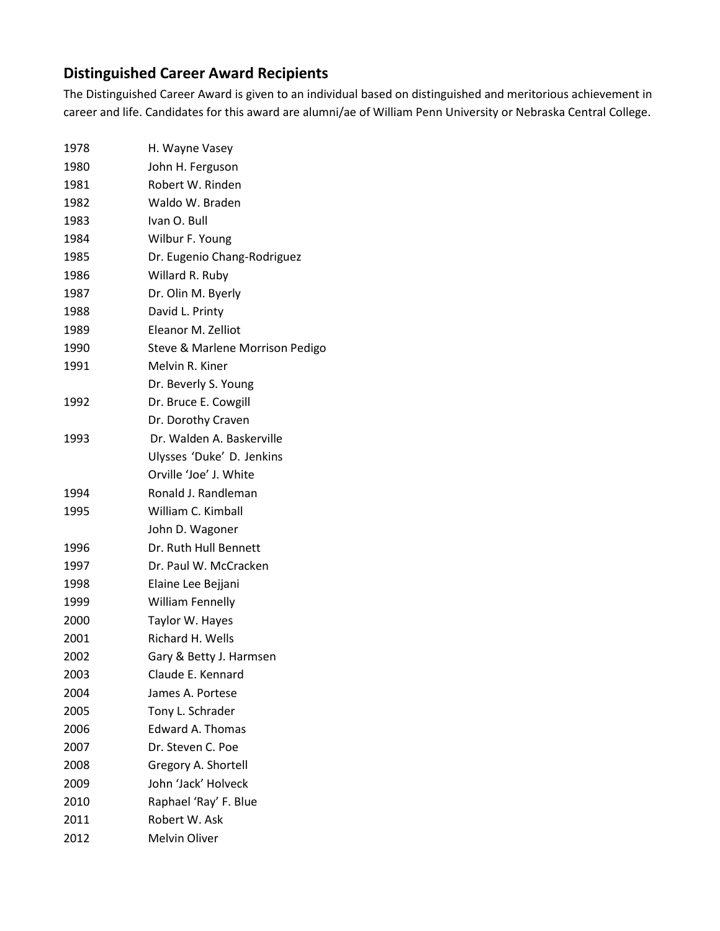## **Distinguished Career Award Recipients**

The Distinguished Career Award is given to an individual based on distinguished and meritorious achievement in career and life. Candidates for this award are alumni/ae of William Penn University or Nebraska Central College.

| 1978 | H. Wayne Vasey                  |
|------|---------------------------------|
| 1980 | John H. Ferguson                |
| 1981 | Robert W. Rinden                |
| 1982 | Waldo W. Braden                 |
| 1983 | Ivan O. Bull                    |
| 1984 | Wilbur F. Young                 |
| 1985 | Dr. Eugenio Chang-Rodriguez     |
| 1986 | Willard R. Ruby                 |
| 1987 | Dr. Olin M. Byerly              |
| 1988 | David L. Printy                 |
| 1989 | Eleanor M. Zelliot              |
| 1990 | Steve & Marlene Morrison Pedigo |
| 1991 | Melvin R. Kiner                 |
|      | Dr. Beverly S. Young            |
| 1992 | Dr. Bruce E. Cowgill            |
|      | Dr. Dorothy Craven              |
| 1993 | Dr. Walden A. Baskerville       |
|      | Ulysses 'Duke' D. Jenkins       |
|      | Orville 'Joe' J. White          |
| 1994 | Ronald J. Randleman             |
| 1995 | William C. Kimball              |
|      | John D. Wagoner                 |
| 1996 | Dr. Ruth Hull Bennett           |
| 1997 | Dr. Paul W. McCracken           |
| 1998 | Elaine Lee Bejjani              |
| 1999 | <b>William Fennelly</b>         |
| 2000 | Taylor W. Hayes                 |
| 2001 | Richard H. Wells                |
| 2002 | Gary & Betty J. Harmsen         |
| 2003 | Claude E. Kennard               |
| 2004 | James A. Portese                |
| 2005 | Tony L. Schrader                |
| 2006 | <b>Edward A. Thomas</b>         |
| 2007 | Dr. Steven C. Poe               |
| 2008 | Gregory A. Shortell             |
| 2009 | John 'Jack' Holveck             |
| 2010 | Raphael 'Ray' F. Blue           |
| 2011 | Robert W. Ask                   |
| 2012 | <b>Melvin Oliver</b>            |